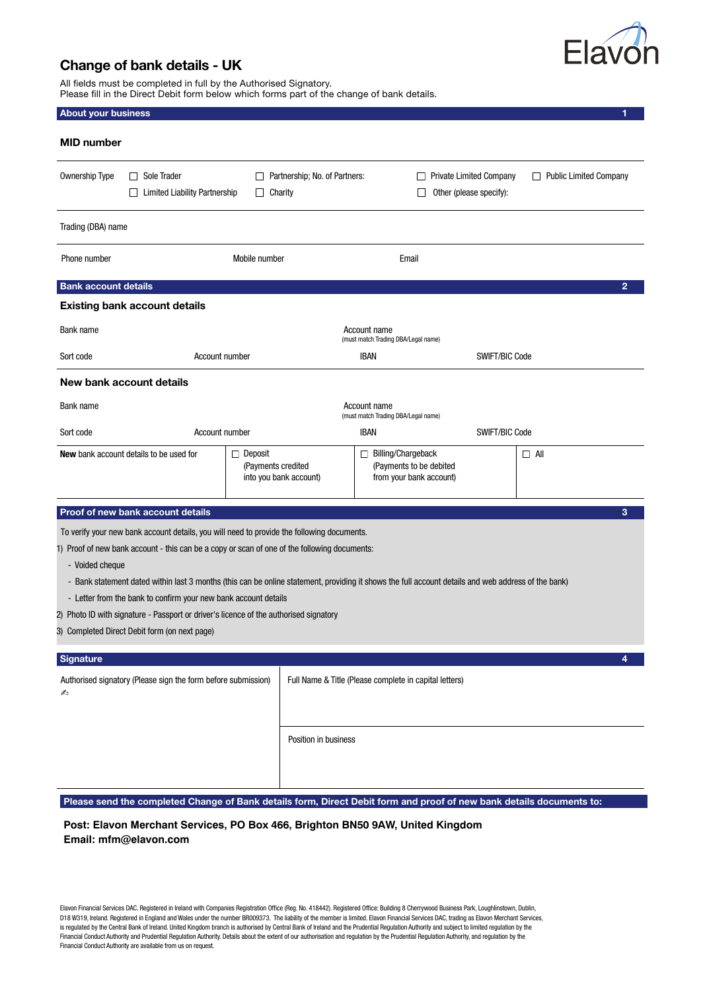

## Change of bank details - UK

All fields must be completed in full by the Authorised Signatory. Please fill in the Direct Debit form below which forms part of the change of bank details.

| <b>MID</b> number                                                                                                                                                                                                                                                                                                                                                                                                                                                                                                                                                                 |                                                                |                                                                          |                                                                                          |                |  |  |  |  |
|-----------------------------------------------------------------------------------------------------------------------------------------------------------------------------------------------------------------------------------------------------------------------------------------------------------------------------------------------------------------------------------------------------------------------------------------------------------------------------------------------------------------------------------------------------------------------------------|----------------------------------------------------------------|--------------------------------------------------------------------------|------------------------------------------------------------------------------------------|----------------|--|--|--|--|
| Sole Trader<br><b>Ownership Type</b><br>$\perp$<br><b>Limited Liability Partnership</b>                                                                                                                                                                                                                                                                                                                                                                                                                                                                                           | Partnership; No. of Partners:<br>Charity                       |                                                                          | <b>Private Limited Company</b><br>Public Limited Company<br>⊔<br>Other (please specify): |                |  |  |  |  |
| Trading (DBA) name                                                                                                                                                                                                                                                                                                                                                                                                                                                                                                                                                                |                                                                |                                                                          |                                                                                          |                |  |  |  |  |
| Phone number                                                                                                                                                                                                                                                                                                                                                                                                                                                                                                                                                                      | Mobile number                                                  | Email                                                                    |                                                                                          |                |  |  |  |  |
| <b>Bank account details</b>                                                                                                                                                                                                                                                                                                                                                                                                                                                                                                                                                       |                                                                |                                                                          |                                                                                          | $\overline{2}$ |  |  |  |  |
| <b>Existing bank account details</b>                                                                                                                                                                                                                                                                                                                                                                                                                                                                                                                                              |                                                                |                                                                          |                                                                                          |                |  |  |  |  |
| Bank name                                                                                                                                                                                                                                                                                                                                                                                                                                                                                                                                                                         | Account name<br>(must match Trading DBA/Legal name)            |                                                                          |                                                                                          |                |  |  |  |  |
| Sort code                                                                                                                                                                                                                                                                                                                                                                                                                                                                                                                                                                         | Account number                                                 | <b>IBAN</b>                                                              |                                                                                          | SWIFT/BIC Code |  |  |  |  |
| New bank account details                                                                                                                                                                                                                                                                                                                                                                                                                                                                                                                                                          |                                                                |                                                                          |                                                                                          |                |  |  |  |  |
| Bank name                                                                                                                                                                                                                                                                                                                                                                                                                                                                                                                                                                         |                                                                | Account name<br>(must match Trading DBA/Legal name)                      |                                                                                          |                |  |  |  |  |
| Sort code                                                                                                                                                                                                                                                                                                                                                                                                                                                                                                                                                                         | Account number                                                 | <b>IBAN</b>                                                              | SWIFT/BIC Code                                                                           |                |  |  |  |  |
| <b>New</b> bank account details to be used for                                                                                                                                                                                                                                                                                                                                                                                                                                                                                                                                    | $\Box$ Deposit<br>(Payments credited<br>into you bank account) | Billing/Chargeback<br>(Payments to be debited<br>from your bank account) |                                                                                          | $\Box$ All     |  |  |  |  |
| Proof of new bank account details                                                                                                                                                                                                                                                                                                                                                                                                                                                                                                                                                 |                                                                |                                                                          |                                                                                          | 3              |  |  |  |  |
| To verify your new bank account details, you will need to provide the following documents.<br>1) Proof of new bank account - this can be a copy or scan of one of the following documents:<br>- Voided cheque<br>- Bank statement dated within last 3 months (this can be online statement, providing it shows the full account details and web address of the bank)<br>- Letter from the bank to confirm your new bank account details<br>2) Photo ID with signature - Passport or driver's licence of the authorised signatory<br>3) Completed Direct Debit form (on next page) |                                                                |                                                                          |                                                                                          |                |  |  |  |  |
| Signature                                                                                                                                                                                                                                                                                                                                                                                                                                                                                                                                                                         |                                                                |                                                                          |                                                                                          |                |  |  |  |  |
| Authorised signatory (Please sign the form before submission)<br>Full Name & Title (Please complete in capital letters)<br>Æэ                                                                                                                                                                                                                                                                                                                                                                                                                                                     |                                                                |                                                                          |                                                                                          |                |  |  |  |  |
| Please send the completed Change of Bank details form, Direct Debit form and proof of new bank details documents to:                                                                                                                                                                                                                                                                                                                                                                                                                                                              | Position in business                                           |                                                                          |                                                                                          |                |  |  |  |  |

**Post: Elavon Merchant Services, PO Box 466, Brighton BN50 9AW, United Kingdom Email: mfm@elavon.com**

Elavon Financial Services DAC. Registered in Ireland with Companies Registration Office (Reg. No. 418442). Registered Office: Building 8 Cherrywood Business Park, Loughlinstown, Dublin, D18 W319, Ireland. Registered in England and Wales under the number BR009373. The liability of the member is limited. Elavon Financial Services DAC, trading as Elavon Merchant Services, is regulated by the Central Bank of Ireland. United Kingdom branch is authorised by Central Bank of Ireland and the Prudential Regulation Authority and subject to limited regulation by the Financial Conduct Authority and Prudential Regulation Authority. Details about the extent of our authorisation and regulation by the Prudential Regulation Authority, and regulation by the Financial Conduct Authority are available from us on request.